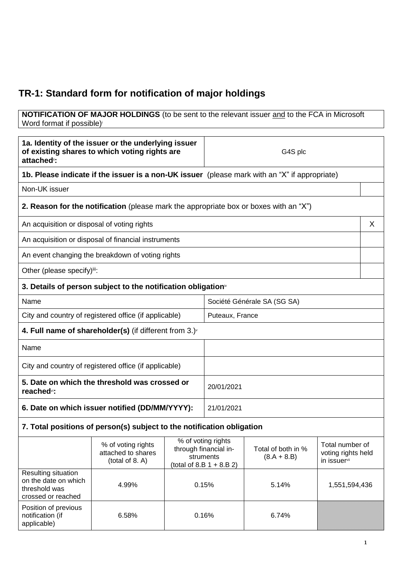## **TR-1: Standard form for notification of major holdings**

## **NOTIFICATION OF MAJOR HOLDINGS** (to be sent to the relevant issuer and to the FCA in Microsoft Word format if possible)

| 1a. Identity of the issuer or the underlying issuer<br>of existing shares to which voting rights are<br>attached <sup>®</sup> : |                                                                                               |                 | G4S plc                                                                                 |                                     |                                                       |   |
|---------------------------------------------------------------------------------------------------------------------------------|-----------------------------------------------------------------------------------------------|-----------------|-----------------------------------------------------------------------------------------|-------------------------------------|-------------------------------------------------------|---|
|                                                                                                                                 | 1b. Please indicate if the issuer is a non-UK issuer (please mark with an "X" if appropriate) |                 |                                                                                         |                                     |                                                       |   |
| Non-UK issuer                                                                                                                   |                                                                                               |                 |                                                                                         |                                     |                                                       |   |
|                                                                                                                                 | <b>2. Reason for the notification</b> (please mark the appropriate box or boxes with an "X")  |                 |                                                                                         |                                     |                                                       |   |
| An acquisition or disposal of voting rights                                                                                     |                                                                                               |                 |                                                                                         |                                     |                                                       | X |
|                                                                                                                                 | An acquisition or disposal of financial instruments                                           |                 |                                                                                         |                                     |                                                       |   |
|                                                                                                                                 | An event changing the breakdown of voting rights                                              |                 |                                                                                         |                                     |                                                       |   |
| Other (please specify)iii:                                                                                                      |                                                                                               |                 |                                                                                         |                                     |                                                       |   |
| 3. Details of person subject to the notification obligation <sup>®</sup>                                                        |                                                                                               |                 |                                                                                         |                                     |                                                       |   |
| Name<br>Société Générale SA (SG SA)                                                                                             |                                                                                               |                 |                                                                                         |                                     |                                                       |   |
|                                                                                                                                 | City and country of registered office (if applicable)                                         | Puteaux, France |                                                                                         |                                     |                                                       |   |
| 4. Full name of shareholder(s) (if different from $3.$ )                                                                        |                                                                                               |                 |                                                                                         |                                     |                                                       |   |
| Name                                                                                                                            |                                                                                               |                 |                                                                                         |                                     |                                                       |   |
|                                                                                                                                 | City and country of registered office (if applicable)                                         |                 |                                                                                         |                                     |                                                       |   |
| 5. Date on which the threshold was crossed or<br>reached <sup>vi</sup> :                                                        |                                                                                               |                 | 20/01/2021                                                                              |                                     |                                                       |   |
|                                                                                                                                 | 6. Date on which issuer notified (DD/MM/YYYY):                                                |                 | 21/01/2021                                                                              |                                     |                                                       |   |
| 7. Total positions of person(s) subject to the notification obligation                                                          |                                                                                               |                 |                                                                                         |                                     |                                                       |   |
|                                                                                                                                 | % of voting rights<br>attached to shares<br>(total of 8. A)                                   |                 | % of voting rights<br>through financial in-<br>struments<br>(total of 8.B $1 + 8.B 2$ ) | Total of both in %<br>$(8.A + 8.B)$ | Total number of<br>voting rights held<br>in issuervii |   |
| Resulting situation<br>on the date on which<br>threshold was<br>crossed or reached                                              | 4.99%                                                                                         | 0.15%           |                                                                                         | 5.14%                               | 1,551,594,436                                         |   |
| Position of previous<br>notification (if<br>applicable)                                                                         | 6.58%                                                                                         | 0.16%           |                                                                                         | 6.74%                               |                                                       |   |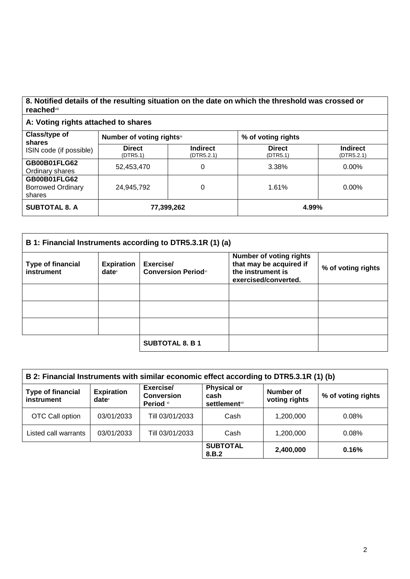## **8. Notified details of the resulting situation on the date on which the threshold was crossed or reached**viii

## **A: Voting rights attached to shares**

| Class/type of<br>shares<br>ISIN code (if possible)        | Number of voting rightsix |                               | % of voting rights        |                               |
|-----------------------------------------------------------|---------------------------|-------------------------------|---------------------------|-------------------------------|
|                                                           | <b>Direct</b><br>(DTR5.1) | <b>Indirect</b><br>(DTR5.2.1) | <b>Direct</b><br>(DTR5.1) | <b>Indirect</b><br>(DTR5.2.1) |
| <b>GB00B01FLG62</b><br>Ordinary shares                    | 52,453,470                | 0                             | 3.38%                     | $0.00\%$                      |
| <b>GB00B01FLG62</b><br><b>Borrowed Ordinary</b><br>shares | 24,945,792                |                               | 1.61%                     | $0.00\%$                      |
| <b>SUBTOTAL 8. A</b>                                      | 77,399,262                |                               | 4.99%                     |                               |

| B 1: Financial Instruments according to DTR5.3.1R (1) (a) |                                        |                                         |                                                                                                        |                    |
|-----------------------------------------------------------|----------------------------------------|-----------------------------------------|--------------------------------------------------------------------------------------------------------|--------------------|
| <b>Type of financial</b><br>instrument                    | <b>Expiration</b><br>date <sup>x</sup> | Exercise/<br><b>Conversion Periodxi</b> | <b>Number of voting rights</b><br>that may be acquired if<br>the instrument is<br>exercised/converted. | % of voting rights |
|                                                           |                                        |                                         |                                                                                                        |                    |
|                                                           |                                        |                                         |                                                                                                        |                    |
|                                                           |                                        |                                         |                                                                                                        |                    |
|                                                           |                                        | <b>SUBTOTAL 8. B 1</b>                  |                                                                                                        |                    |

| B 2: Financial Instruments with similar economic effect according to DTR5.3.1R (1) (b) |                                        |                                             |                                                                |                                   |                    |
|----------------------------------------------------------------------------------------|----------------------------------------|---------------------------------------------|----------------------------------------------------------------|-----------------------------------|--------------------|
| <b>Type of financial</b><br>instrument                                                 | <b>Expiration</b><br>date <sup>x</sup> | Exercise/<br><b>Conversion</b><br>Period xi | <b>Physical or</b><br>cash<br><b>settlement</b> <sup>xii</sup> | <b>Number of</b><br>voting rights | % of voting rights |
| OTC Call option                                                                        | 03/01/2033                             | Till 03/01/2033                             | Cash                                                           | 1,200,000                         | 0.08%              |
| Listed call warrants                                                                   | 03/01/2033                             | Till 03/01/2033                             | Cash                                                           | 1,200,000                         | 0.08%              |
|                                                                                        |                                        |                                             | <b>SUBTOTAL</b><br>8.B.2                                       | 2,400,000                         | 0.16%              |